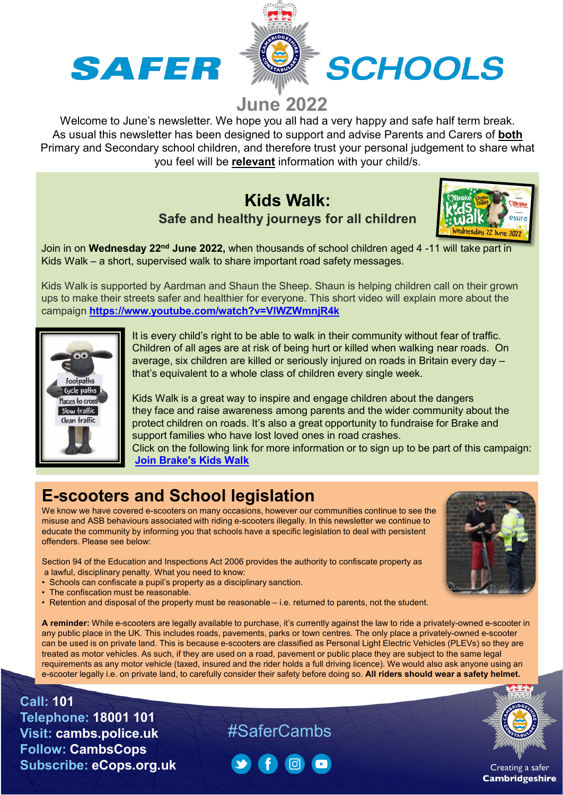



# **June 2022**

Welcome to June's newsletter. We hope you all had a very happy and safe half term break. As usual this newsletter has been designed to support and advise Parents and Carers of **both** Primary and Secondary school children, and therefore trust your personal judgement to share what you feel will be **relevant** information with your child/s.

#### **Kids Walk: Safe and healthy journeys for all children**



Join in on **Wednesday 22nd June 2022,** when thousands of school children aged 4 -11 will take part in Kids Walk – a short, supervised walk to share important road safety messages.

Kids Walk is supported by Aardman and Shaun the Sheep. Shaun is helping children call on their grown ups to make their streets safer and healthier for everyone. This short video will explain more about the campaign **<https://www.youtube.com/watch?v=VlWZWmnjR4k>**



It is every child's right to be able to walk in their community without fear of traffic. Children of all ages are at risk of being hurt or killed when walking near roads. On average, six children are killed or seriously injured on roads in Britain every day – that's equivalent to a whole class of children every single week.

Kids Walk is a great way to inspire and engage children about the dangers they face and raise awareness among parents and the wider community about the protect children on roads. It's also a great opportunity to fundraise for Brake and support families who have lost loved ones in road crashes.

Click on the following link for more information or to sign up to be part of this campaign: **[Join Brake's Kids Walk](https://gbr01.safelinks.protection.outlook.com/?url=https%3A%2F%2Fbrake.us9.list-manage.com%2Ftrack%2Fclick%3Fu%3D8ace7c22f21669aa351b5d95a%26id%3D3e9f4198f0%26e%3D4836501b3a&data=05%7C01%7CKaren.parsons%40cambs.police.uk%7Cbd5e61d09d15421808d208da285c7804%7Ca3c59d1bb8f142999d6a39ad8f570422%7C0%7C0%7C637866675594702973%7CUnknown%7CTWFpbGZsb3d8eyJWIjoiMC4wLjAwMDAiLCJQIjoiV2luMzIiLCJBTiI6Ik1haWwiLCJXVCI6Mn0%3D%7C3000%7C%7C%7C&sdata=cCBaGwfrg5Rbnb5ki1lr1W%2F1Fso0SAklm9kg9ZPJ%2FTE%3D&reserved=0)**

# **E-scooters and School legislation**

We know we have covered e-scooters on many occasions, however our communities continue to see the misuse and ASB behaviours associated with riding e-scooters illegally. In this newsletter we continue to educate the community by informing you that schools have a specific legislation to deal with persistent offenders. Please see below:

Section 94 of the Education and Inspections Act 2006 provides the authority to confiscate property as a lawful, disciplinary penalty. What you need to know:

- Schools can confiscate a pupil's property as a disciplinary sanction.
- The confiscation must be reasonable.
- Retention and disposal of the property must be reasonable i.e. returned to parents, not the student.

**A reminder:** While e-scooters are legally available to purchase, it's currently against the law to ride a privately-owned e-scooter in any public place in the UK. This includes roads, pavements, parks or town centres. The only place a privately-owned e-scooter can be used is on private land. This is because e-scooters are classified as Personal Light Electric Vehicles (PLEVs) so they are treated as motor vehicles. As such, if they are used on a road, pavement or public place they are subject to the same legal requirements as any motor vehicle (taxed, insured and the rider holds a full driving licence). We would also ask anyone using an e-scooter legally i.e. on private land, to carefully consider their safety before doing so. **All riders should wear a safety helmet.**

**Call: 101 Telephone: 18001 101 Visit: cambs.police.uk Follow: CambsCops Subscribe: eCops.org.uk**

# #SaferCambs







Creating a safer **Cambridgeshire**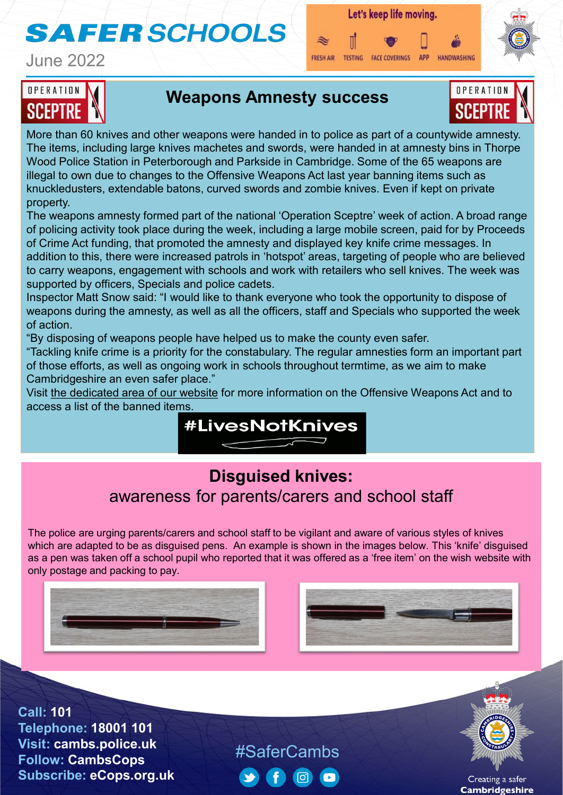# **SAFER SCHOOLS**

June 2022



**APP** TESTING FACE COVERINGS HANDWASHING **FRESH AIR** 



# OPERATION SCEPTRI

### **Weapons Amnesty success**



More than 60 knives and other weapons were handed in to police as part of a countywide amnesty. The items, including large knives machetes and swords, were handed in at amnesty bins in Thorpe Wood Police Station in Peterborough and Parkside in Cambridge. Some of the 65 weapons are illegal to own due to changes to the Offensive Weapons Act last year banning items such as knuckledusters, extendable batons, curved swords and zombie knives. Even if kept on private property.

The weapons amnesty formed part of the national 'Operation Sceptre' week of action. A broad range of policing activity took place during the week, including a large mobile screen, paid for by Proceeds of Crime Act funding, that promoted the amnesty and displayed key knife crime messages. In addition to this, there were increased patrols in 'hotspot' areas, targeting of people who are believed to carry weapons, engagement with schools and work with retailers who sell knives. The week was supported by officers, Specials and police cadets.

Inspector Matt Snow said: "I would like to thank everyone who took the opportunity to dispose of weapons during the amnesty, as well as all the officers, staff and Specials who supported the week of action.

"By disposing of weapons people have helped us to make the county even safer.

"Tackling knife crime is a priority for the constabulary. The regular amnesties form an important part of those efforts, as well as ongoing work in schools throughout termtime, as we aim to make Cambridgeshire an even safer place."

Visit [the dedicated area of our website](https://www.cambs.police.uk/police-forces/cambridgeshire-constabulary/areas/campaigns/knife-and-gun-crime/?utm_source=Knife+crime+amnesty+results&utm_medium=Press+release&utm_campaign=Knife) for more information on the Offensive Weapons Act and to access a list of the banned items.



# **Disguised knives:**  awareness for parents/carers and school staff

The police are urging parents/carers and school staff to be vigilant and aware of various styles of knives which are adapted to be as disguised pens. An example is shown in the images below. This 'knife' disguised as a pen was taken off a school pupil who reported that it was offered as a 'free item' on the wish website with only postage and packing to pay.





**Call: 101 Telephone: 18001 101 Visit: cambs.police.uk Follow: CambsCops Subscribe: eCops.org.uk**

#SaferCambs  $\lceil$  (6)



Creating a safer **Cambridgeshire**